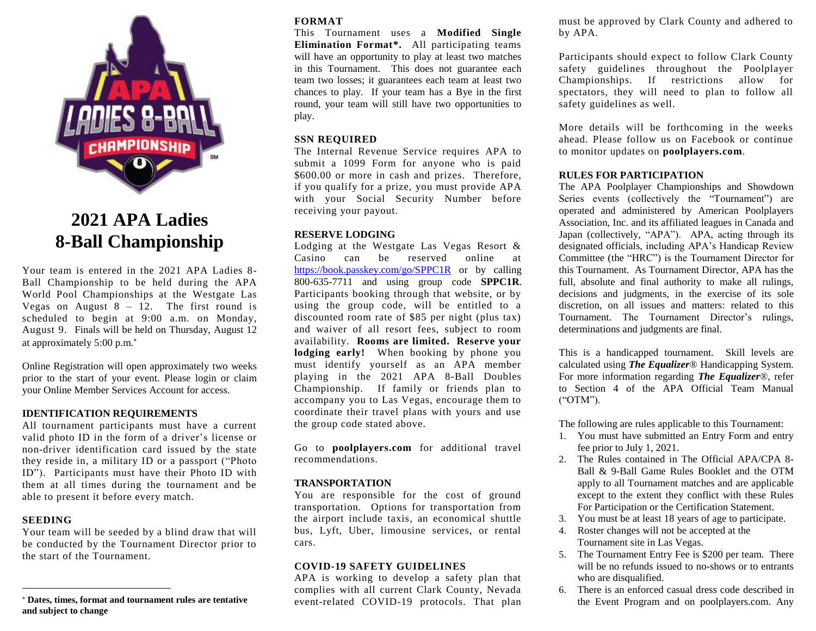

# **2021 APA Ladies 8-Ball Championship**

Your team is entered in the 2021 APA Ladies 8- Ball Championship to be held during the APA World Pool Championships at the Westgate Las Vegas on August  $8 - 12$ . The first round is scheduled to begin at 9:00 a.m. on Monday, August 9. Finals will be held on Thursday, August 12 at approximately 5:00 p.m.

Online Registration will open approximately two weeks prior to the start of your event. Please login or claim your Online Member Services Account for access.

### **IDENTIFICATION REQUIREMENTS**

All tournament participants must have a current valid photo ID in the form of a driver's license or non-driver identification card issued by the state they reside in, a military ID or a passport ("Photo ID"). Participants must have their Photo ID with them at all times during the tournament and be able to present it before every match.

### **SEEDING**

 $\overline{a}$ 

Your team will be seeded by a blind draw that will be conducted by the Tournament Director prior to the start of the Tournament.

## **FORMAT**

This Tournament uses a **Modified Single Elimination Format\*.** All participating teams will have an opportunity to play at least two matches in this Tournament. This does not guarantee each team two losses; it guarantees each team at least two chances to play. If your team has a Bye in the first round, your team will still have two opportunities to play.

#### **SSN REQUIRED**

The Internal Revenue Service requires APA to submit a 1099 Form for anyone who is paid \$600.00 or more in cash and prizes. Therefore, if you qualify for a prize, you must provide APA with your Social Security Number before receiving your payout.

## **RESERVE LODGING**

Lodging at the Westgate Las Vegas Resort & Casino can be reserved online at <https://book.passkey.com/go/SPPC1R> or by calling 800-635-7711 and using group code **SPPC1R**. Participants booking through that website, or by using the group code, will be entitled to a discounted room rate of \$85 per night (plus tax) and waiver of all resort fees, subject to room availability. **Rooms are limited. Reserve your lodging early!** When booking by phone you must identify yourself as an APA member playing in the 2021 APA 8-Ball Doubles Championship. If family or friends plan to accompany you to Las Vegas, encourage them to coordinate their travel plans with yours and use the group code stated above.

Go to **poolplayers.com** for additional travel recommendations.

### **TRANSPORTATION**

You are responsible for the cost of ground transportation. Options for transportation from the airport include taxis, an economical shuttle bus, Lyft, Uber, limousine services, or rental cars.

#### **COVID-19 SAFETY GUIDELINES**

APA is working to develop a safety plan that complies with all current Clark County, Nevada event-related COVID-19 protocols. That plan must be approved by Clark County and adhered to by APA.

Participants should expect to follow Clark County safety guidelines throughout the Poolplayer Championships. If restrictions allow for spectators, they will need to plan to follow all safety guidelines as well.

More details will be forthcoming in the weeks ahead. Please follow us on Facebook or continue to monitor updates on **poolplayers.com**.

#### **RULES FOR PARTICIPATION**

The APA Poolplayer Championships and Showdown Series events (collectively the "Tournament") are operated and administered by American Poolplayers Association, Inc. and its affiliated leagues in Canada and Japan (collectively, "APA"). APA, acting through its designated officials, including APA's Handicap Review Committee (the "HRC") is the Tournament Director for this Tournament. As Tournament Director, APA has the full, absolute and final authority to make all rulings, decisions and judgments, in the exercise of its sole discretion, on all issues and matters: related to this Tournament. The Tournament Director's rulings, determinations and judgments are final.

This is a handicapped tournament. Skill levels are calculated using *The Equalizer*® Handicapping System. For more information regarding *The Equalizer*®, refer to Section 4 of the APA Official Team Manual ("OTM").

The following are rules applicable to this Tournament:

- 1. You must have submitted an Entry Form and entry fee prior to July 1, 2021.
- 2. The Rules contained in The Official APA/CPA 8- Ball & 9-Ball Game Rules Booklet and the OTM apply to all Tournament matches and are applicable except to the extent they conflict with these Rules For Participation or the Certification Statement.
- 3. You must be at least 18 years of age to participate.
- 4. Roster changes will not be accepted at the Tournament site in Las Vegas.
- 5. The Tournament Entry Fee is \$200 per team. There will be no refunds issued to no-shows or to entrants who are disqualified.
- 6. There is an enforced casual dress code described in the Event Program and on poolplayers.com. Any

**Dates, times, format and tournament rules are tentative and subject to change**